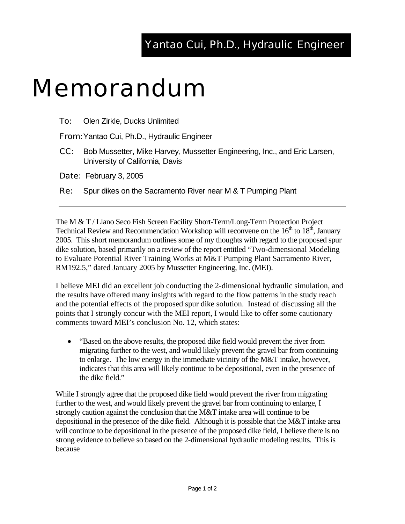## Yantao Cui, Ph.D., Hydraulic Engineer

## Memorandum

**To:** Olen Zirkle, Ducks Unlimited

From: Yantao Cui, Ph.D., Hydraulic Engineer

CC: Bob Mussetter, Mike Harvey, Mussetter Engineering, Inc., and Eric Larsen, University of California, Davis

Date: February 3, 2005

**Re:** Spur dikes on the Sacramento River near M & T Pumping Plant

The M & T / Llano Seco Fish Screen Facility Short-Term/Long-Term Protection Project Technical Review and Recommendation Workshop will reconvene on the  $16<sup>th</sup>$  to  $18<sup>th</sup>$ , January 2005. This short memorandum outlines some of my thoughts with regard to the proposed spur dike solution, based primarily on a review of the report entitled "Two-dimensional Modeling to Evaluate Potential River Training Works at M&T Pumping Plant Sacramento River, RM192.5," dated January 2005 by Mussetter Engineering, Inc. (MEI).

I believe MEI did an excellent job conducting the 2-dimensional hydraulic simulation, and the results have offered many insights with regard to the flow patterns in the study reach and the potential effects of the proposed spur dike solution. Instead of discussing all the points that I strongly concur with the MEI report, I would like to offer some cautionary comments toward MEI's conclusion No. 12, which states:

• "Based on the above results, the proposed dike field would prevent the river from migrating further to the west, and would likely prevent the gravel bar from continuing to enlarge. The low energy in the immediate vicinity of the M&T intake, however, indicates that this area will likely continue to be depositional, even in the presence of the dike field."

While I strongly agree that the proposed dike field would prevent the river from migrating further to the west, and would likely prevent the gravel bar from continuing to enlarge, I strongly caution against the conclusion that the M&T intake area will continue to be depositional in the presence of the dike field. Although it is possible that the M&T intake area will continue to be depositional in the presence of the proposed dike field, I believe there is no strong evidence to believe so based on the 2-dimensional hydraulic modeling results. This is because